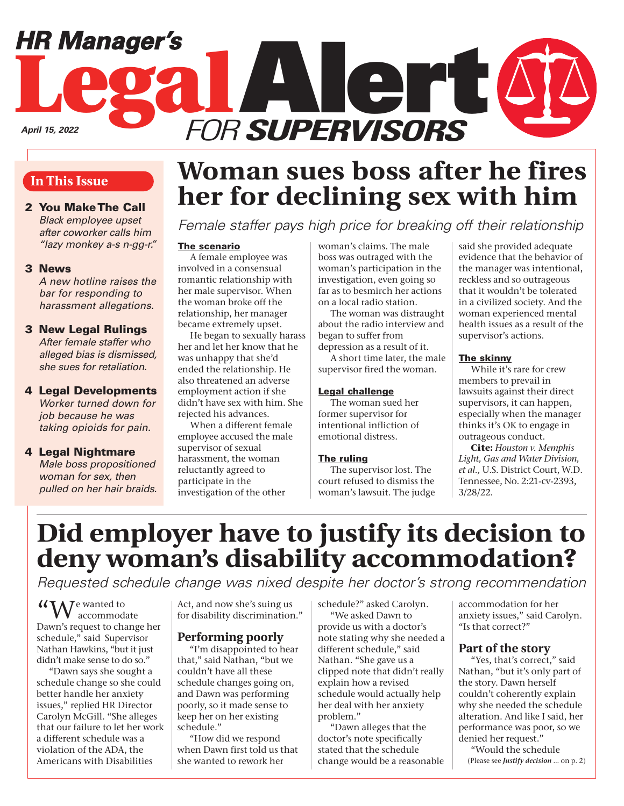# **Legal**Alert FOR **SUPERVISORS** *HR Manager's April 15, 2022*

### **In This Issue**

2 You Make The Call Black employee upset after coworker calls him "lazy monkey a-s n-gg-r."

#### 3 News

 A new hotline raises the bar for responding to harassment allegations.

#### 3 New Legal Rulings

 After female staffer who alleged bias is dismissed, she sues for retaliation.

#### 4 Legal Developments Worker turned down for

job because he was taking opioids for pain.

#### 4 Legal Nightmare

 Male boss propositioned woman for sex, then pulled on her hair braids.

# **Woman sues boss after he fires her for declining sex with him**

Female staffer pays high price for breaking off their relationship

#### The scenario

A female employee was involved in a consensual romantic relationship with her male supervisor. When the woman broke off the relationship, her manager became extremely upset.

He began to sexually harass her and let her know that he was unhappy that she'd ended the relationship. He also threatened an adverse employment action if she didn't have sex with him. She rejected his advances.

When a different female employee accused the male supervisor of sexual harassment, the woman reluctantly agreed to participate in the investigation of the other

woman's claims. The male boss was outraged with the woman's participation in the investigation, even going so far as to besmirch her actions on a local radio station.

The woman was distraught about the radio interview and began to suffer from depression as a result of it.

A short time later, the male supervisor fired the woman.

#### Legal challenge

The woman sued her former supervisor for intentional infliction of emotional distress.

#### **The ruling**

The supervisor lost. The court refused to dismiss the woman's lawsuit. The judge

said she provided adequate evidence that the behavior of the manager was intentional, reckless and so outrageous that it wouldn't be tolerated in a civilized society. And the woman experienced mental health issues as a result of the supervisor's actions.

#### The skinny

While it's rare for crew members to prevail in lawsuits against their direct supervisors, it can happen, especially when the manager thinks it's OK to engage in outrageous conduct.

**Cite:** *Houston v. Memphis Light, Gas and Water Division, et al.,* U.S. District Court, W.D. Tennessee, No. 2:21-cv-2393, 3/28/22.

## **Did employer have to justify its decision to deny woman's disability accommodation?**

Requested schedule change was nixed despite her doctor's strong recommendation

"We wanted to accommodate Dawn's request to change her schedule," said Supervisor Nathan Hawkins, "but it just didn't make sense to do so."

"Dawn says she sought a schedule change so she could better handle her anxiety issues," replied HR Director Carolyn McGill. "She alleges that our failure to let her work a different schedule was a violation of the ADA, the Americans with Disabilities

Act, and now she's suing us for disability discrimination."

## **Performing poorly**

"I'm disappointed to hear that," said Nathan, "but we couldn't have all these schedule changes going on, and Dawn was performing poorly, so it made sense to keep her on her existing schedule."

"How did we respond when Dawn first told us that she wanted to rework her

schedule?" asked Carolyn. "We asked Dawn to provide us with a doctor's note stating why she needed a different schedule," said Nathan. "She gave us a clipped note that didn't really explain how a revised schedule would actually help her deal with her anxiety problem."

"Dawn alleges that the doctor's note specifically stated that the schedule change would be a reasonable accommodation for her anxiety issues," said Carolyn. "Is that correct?"

### **Part of the story**

"Yes, that's correct," said Nathan, "but it's only part of the story. Dawn herself couldn't coherently explain why she needed the schedule alteration. And like I said, her performance was poor, so we denied her request."

"Would the schedule (Please see *Justify decision* … on p. 2)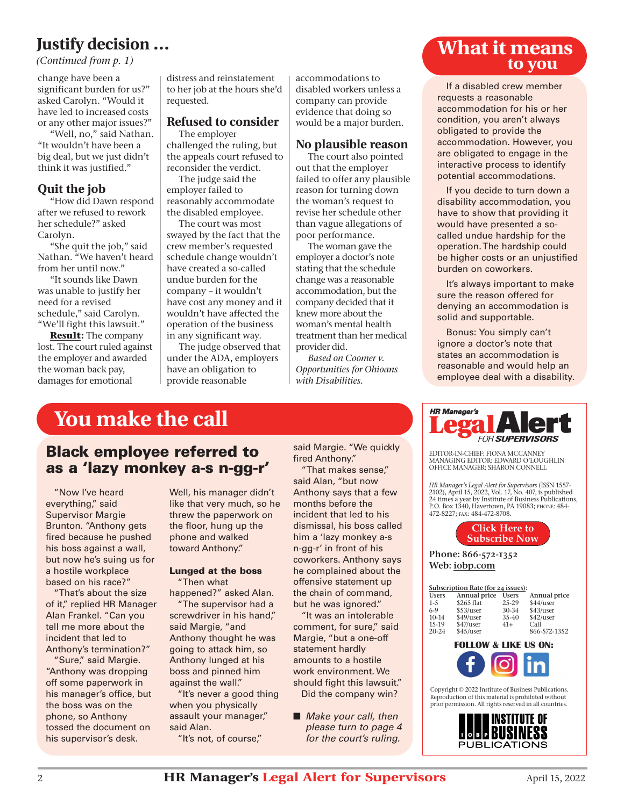## **Justify decision …**

*(Continued from p. 1)*

change have been a significant burden for us?" asked Carolyn. "Would it have led to increased costs or any other major issues?"

"Well, no," said Nathan. "It wouldn't have been a big deal, but we just didn't think it was justified."

### **Quit the job**

"How did Dawn respond after we refused to rework her schedule?" asked Carolyn.

"She quit the job," said Nathan. "We haven't heard from her until now."

"It sounds like Dawn was unable to justify her need for a revised schedule," said Carolyn. "We'll fight this lawsuit."

**Result:** The company lost. The court ruled against the employer and awarded the woman back pay, damages for emotional

distress and reinstatement to her job at the hours she'd requested.

#### **Refused to consider** The employer

challenged the ruling, but the appeals court refused to reconsider the verdict.

The judge said the employer failed to reasonably accommodate the disabled employee.

The court was most swayed by the fact that the crew member's requested schedule change wouldn't have created a so-called undue burden for the company – it wouldn't have cost any money and it wouldn't have affected the operation of the business in any significant way.

The judge observed that under the ADA, employers have an obligation to provide reasonable

accommodations to disabled workers unless a company can provide evidence that doing so would be a major burden.

#### **No plausible reason**

The court also pointed out that the employer failed to offer any plausible reason for turning down the woman's request to revise her schedule other than vague allegations of poor performance.

The woman gave the employer a doctor's note stating that the schedule change was a reasonable accommodation, but the company decided that it knew more about the woman's mental health treatment than her medical provider did.

*Based on Coomer v. Opportunities for Ohioans with Disabilities.*

## **What it means to you**

If a disabled crew member requests a reasonable accommodation for his or her condition, you aren't always obligated to provide the accommodation. However, you are obligated to engage in the interactive process to identify potential accommodations.

If you decide to turn down a disability accommodation, you have to show that providing it would have presented a socalled undue hardship for the operation. The hardship could be higher costs or an unjustified burden on coworkers.

It's always important to make sure the reason offered for denying an accommodation is solid and supportable.

Bonus: You simply can't ignore a doctor's note that states an accommodation is reasonable and would help an employee deal with a disability.

## **You make the call**

## Black employee referred to as a 'lazy monkey a-s n-gg-r'

"Now I've heard everything," said Supervisor Margie Brunton. "Anthony gets fired because he pushed his boss against a wall, but now he's suing us for a hostile workplace based on his race?"

"That's about the size of it," replied HR Manager Alan Frankel. "Can you tell me more about the incident that led to Anthony's termination?"

"Sure," said Margie. "Anthony was dropping off some paperwork in his manager's office, but the boss was on the phone, so Anthony tossed the document on his supervisor's desk.

Well, his manager didn't like that very much, so he threw the paperwork on the floor, hung up the phone and walked toward Anthony."

#### Lunged at the boss "Then what

happened?" asked Alan.

"The supervisor had a screwdriver in his hand," said Margie, "and Anthony thought he was going to attack him, so Anthony lunged at his boss and pinned him against the wall."

"It's never a good thing when you physically assault your manager," said Alan.

"It's not, of course,"

said Margie. "We quickly fired Anthony."

"That makes sense," said Alan, "but now Anthony says that a few months before the incident that led to his dismissal, his boss called him a 'lazy monkey a-s n-gg-r' in front of his coworkers. Anthony says he complained about the offensive statement up the chain of command, but he was ignored."

"It was an intolerable comment, for sure," said Margie, "but a one-off statement hardly amounts to a hostile work environment. We should fight this lawsuit." Did the company win?

■ Make your call, then please turn to page 4 for the court's ruling.



EDITOR-IN-CHIEF: FIONA MCCANNEY MANAGING EDITOR: EDWARD O'LOUGHLIN OFFICE MANAGER: SHARON CONNELL

*HR Manager's Legal Alert for Supervisors* (ISSN 1557- 2102), April 15, 2022, Vol. 17, No. 407, is published 24 times a year by Institute of Business Publications, P.O. Box 1340, Havertown, PA 19083; PHONE: 484- 472-8227; FAX: 484-472-8708.



Phone: 866-572-1352 Web[: iobp.com](www.iobp.com)

| Subscription Rate (for 24 issues): |              |              |              |
|------------------------------------|--------------|--------------|--------------|
| <b>Users</b>                       | Annual price | <b>Users</b> | Annual price |
| $1 - 5$                            | \$265 flat   | 25-29        | \$44/user    |
| 6-9                                | \$53/user    | 30-34        | \$43/user    |
| $10-14$                            | \$49/user    | 35-40        | \$42/user    |
| 15-19                              | \$47/user    | $41+$        | Call         |
| 20-24                              | \$45/user    |              | 866-572-1352 |



Copyright © 2022 Institute of Business Publications. Reproduction of this material is prohibited without prior permission. All rights reserved in all countries.

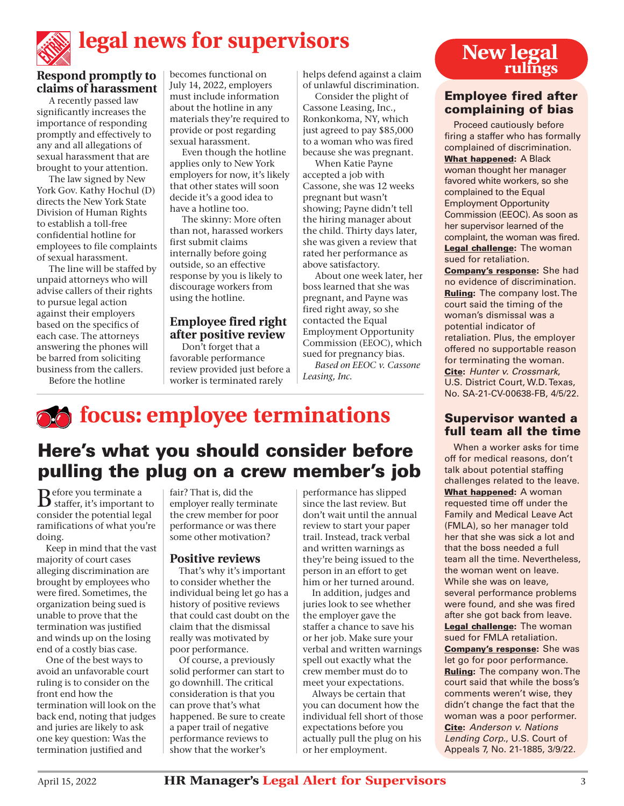# **legal news for supervisors**

## **Respond promptly to claims of harassment**

A recently passed law significantly increases the importance of responding promptly and effectively to any and all allegations of sexual harassment that are brought to your attention.

The law signed by New York Gov. Kathy Hochul (D) directs the New York State Division of Human Rights to establish a toll-free confidential hotline for employees to file complaints of sexual harassment.

The line will be staffed by unpaid attorneys who will advise callers of their rights to pursue legal action against their employers based on the specifics of each case. The attorneys answering the phones will be barred from soliciting business from the callers.

Before the hotline

becomes functional on July 14, 2022, employers must include information about the hotline in any materials they're required to provide or post regarding sexual harassment.

Even though the hotline applies only to New York employers for now, it's likely that other states will soon decide it's a good idea to have a hotline too.

The skinny: More often than not, harassed workers first submit claims internally before going outside, so an effective response by you is likely to discourage workers from using the hotline.

#### **Employee fired right after positive review**

Don't forget that a favorable performance review provided just before a worker is terminated rarely

helps defend against a claim of unlawful discrimination.

Consider the plight of Cassone Leasing, Inc., Ronkonkoma, NY, which just agreed to pay \$85,000 to a woman who was fired because she was pregnant.

When Katie Payne accepted a job with Cassone, she was 12 weeks pregnant but wasn't showing; Payne didn't tell the hiring manager about the child. Thirty days later, she was given a review that rated her performance as above satisfactory.

About one week later, her boss learned that she was pregnant, and Payne was fired right away, so she contacted the Equal Employment Opportunity Commission (EEOC), which sued for pregnancy bias.

*Based on EEOC v. Cassone Leasing, Inc.*

# *follogies* focus: employee terminations

## Here's what you should consider before pulling the plug on a crew member's job

 $\mathbf{B}$  staffer, it's important to consider the potential legal ramifications of what you're doing.

Keep in mind that the vast majority of court cases alleging discrimination are brought by employees who were fired. Sometimes, the organization being sued is unable to prove that the termination was justified and winds up on the losing end of a costly bias case.

One of the best ways to avoid an unfavorable court ruling is to consider on the front end how the termination will look on the back end, noting that judges and juries are likely to ask one key question: Was the termination justified and

fair? That is, did the employer really terminate the crew member for poor performance or was there some other motivation?

#### **Positive reviews**

That's why it's important to consider whether the individual being let go has a history of positive reviews that could cast doubt on the claim that the dismissal really was motivated by poor performance.

Of course, a previously solid performer can start to go downhill. The critical consideration is that you can prove that's what happened. Be sure to create a paper trail of negative performance reviews to show that the worker's

performance has slipped since the last review. But don't wait until the annual review to start your paper trail. Instead, track verbal and written warnings as they're being issued to the person in an effort to get him or her turned around.

In addition, judges and juries look to see whether the employer gave the staffer a chance to save his or her job. Make sure your verbal and written warnings spell out exactly what the crew member must do to meet your expectations.

Always be certain that you can document how the individual fell short of those expectations before you actually pull the plug on his or her employment.

# **New legal rulings**

### Employee fired after complaining of bias

Proceed cautiously before firing a staffer who has formally complained of discrimination.

What happened: A Black woman thought her manager favored white workers, so she complained to the Equal Employment Opportunity Commission (EEOC). As soon as her supervisor learned of the complaint, the woman was fired. Legal challenge: The woman sued for retaliation.

Company's response: She had no evidence of discrimination. Ruling: The company lost. The court said the timing of the woman's dismissal was a potential indicator of retaliation. Plus, the employer offered no supportable reason for terminating the woman. Cite: Hunter v. Crossmark. U.S. District Court, W.D. Texas, No. SA-21-CV-00638-FB, 4/5/22.

### Supervisor wanted a full team all the time

When a worker asks for time off for medical reasons, don't talk about potential staffing challenges related to the leave. What happened: A woman requested time off under the Family and Medical Leave Act (FMLA), so her manager told her that she was sick a lot and that the boss needed a full team all the time. Nevertheless, the woman went on leave. While she was on leave, several performance problems were found, and she was fired after she got back from leave. Legal challenge: The woman sued for FMLA retaliation. Company's response: She was let go for poor performance. **Ruling:** The company won. The court said that while the boss's comments weren't wise, they didn't change the fact that the woman was a poor performer. Cite: Anderson v. Nations Lending Corp., U.S. Court of Appeals 7, No. 21-1885, 3/9/22.